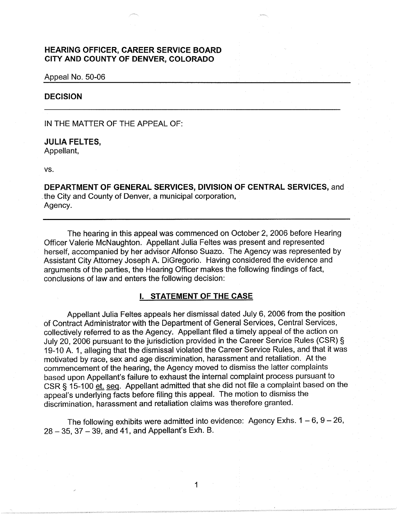# **HEARING OFFICER, CAREER SERVICE BOARD CITY AND COUNTY OF DENVER, COLORADO**

#### Appeal No. 50-06

# **DECISION**

IN THE MATTER OF THE APPEAL OF:

## **JULIA FELTES,**

Appellant,

vs.

**DEPARTMENT OF GENERAL SERVICES, DIVISION OF CENTRAL SERVICES,** and . the City and County of Denver, a municipal corporation, Agency.

The hearing in this appeal was commenced on October 2, 2006 before Hearing Officer Valerie McNaughton. Appellant Julia Feltes was present and represented herself, accompanied by her advisor Alfonso Suazo. The Agency was represented by Assistant City Attorney Joseph A. DiGregorio. Having considered the evidence and arguments of the parties, the Hearing Officer makes the following findings of fact, conclusions of law and enters the following decision:

## I. **STATEMENT OF THE CASE**

Appellant Julia Feltes appeals her dismissal dated July 6, 2006 from the position of Contract Administrator with the Department of General Services, Central Services, collectively referred to as the Agency. Appellant filed a timely appeal of the action on July 20, 2006 pursuant to the jurisdiction provided in the Career Service Rules (CSR) § 19-10 A. 1, alleging that the dismissal violated the Career Service Rules, and that it was motivated by race, sex and age discrimination, harassment and retaliation. At the commencement of the hearing, the Agency moved to dismiss the latter complaints based upon Appellant's failure to exhaust the internal complaint process pursuant to CSR § 15-100 et. seq. Appellant admitted that she did not file a complaint based on the appeal's underlying facts before filing this appeal. The motion to dismiss the discrimination, harassment and retaliation claims was therefore granted.

The following exhibits were admitted into evidence: Agency Exhs.  $1 - 6$ ,  $9 - 26$ , 28 - 35, 37 - 39, and 41, and Appellant's Exh. B.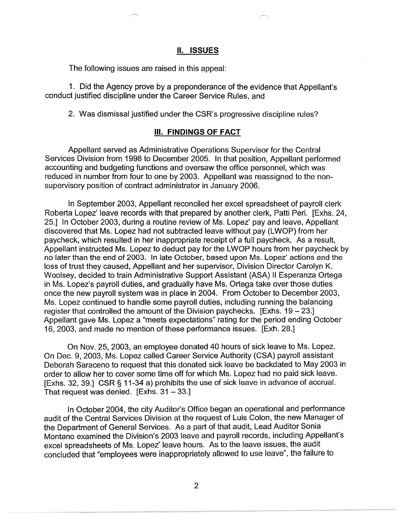## **II. ISSUES**

The following issues are raised in this appeal:

1. Did the Agency prove by a preponderance of the evidence that Appellant's conduct justified discipline under the Career Service Rules, and

2. Was dismissal justified under the CSR's progressive discipline rules?

## Ill. **FINDINGS OF FACT**

Appellant served as Administrative Operations Supervisor for the Central Services Division from 1998 to December 2005. In that position, Appellant performed accounting and budgeting functions and oversaw the office personnel, which was reduced in number from four to one by 2003. Appellant was reassigned to the nonsupervisory position of contract administrator in January 2006.

In September 2003, Appellant reconciled her excel spreadsheet of payroll clerk Roberta Lopez' leave records with that prepared by another clerk, Patti Peri. [Exhs. 24, 25.] In October 2003, during a routine review of Ms. Lopez' pay and leave, Appellant discovered that Ms. Lopez had not subtracted leave without pay (LWOP) from her paycheck, which resulted in her inappropriate receipt of a full paycheck. As a result, Appellant instructed Ms. Lopez to deduct pay for the LWOP hours from her paycheck by no later than the end of 2003. In late October, based upon Ms. Lopez' actions and the loss of trust they caused, Appellant and her supervisor, Division Director Carolyn K. Woolsey, decided to train Administrative Support Assistant (ASA) II Esperanza Ortega in Ms. Lopez's payroll duties, and gradually have Ms. Ortega take over those duties once the new payroll system was in place in 2004. From October to December 2003, Ms. Lopez continued to handle some payroll duties, including running the balancing register that controlled the amount of the Division paychecks.  $[Exhs. 19 - 23.]$ Appellant gave Ms. Lopez a "meets expectations" rating for the period ending October 16, 2003, and made no mention of these performance issues. [Exh. 28.]

On Nov. 25, 2003, an employee donated 40 hours of sick leave to Ms. Lopez. On Dec. 9, 2003, Ms. Lopez called Career Service Authority (CSA) payroll assistant Deborah Saraceno to request that this donated sick leave be backdated to May 2003 in order to allow her to cover some time off for which Ms. Lopez had no paid sick leave. [Exhs. 32, 39.] CSR§ 11-34 a) prohibits the use of sick leave in advance of accrual. That request was denied. [Exhs.  $31 - 33$ .]

In October 2004, the city Auditor's Office began an operational and performance audit of the Central Services Division at the request of Luis Colon, the new Manager of the Department of General Services. As a part of that audit, Lead Auditor Sonia Montano examined the Division's 2003 leave and payroll records, including Appellant's excel spreadsheets of Ms. Lopez' leave hours. As to the leave issues, the audit concluded that "employees were inappropriately allowed to use leave", the failure to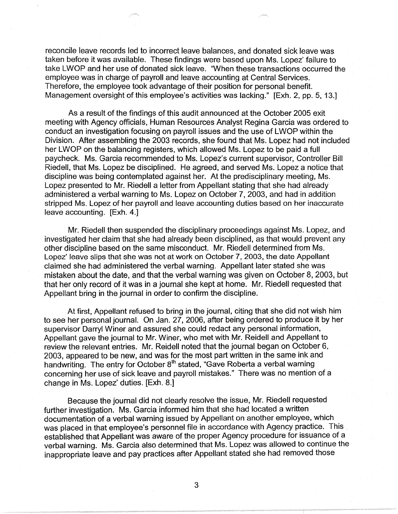reconcile leave records led to incorrect leave balances, and donated sick leave was taken before it was available. These findings were based upon Ms. Lopez' failure to take LWOP and her use of donated sick leave. "When these transactions occurred the employee was in charge of payroll and leave accounting at Central Services. Therefore, the employee took advantage of their position for personal benefit. Management oversight of this employee's activities was lacking." [Exh. 2, pp. 5, 13.]

As a result of the findings of this audit announced at the October 2005 exit meeting with Agency officials, Human Resources Analyst Regina Garcia was ordered to conduct an investigation focusing on payroll issues and the use of LWOP within the Division. After assembling the 2003 records, she found that Ms. Lopez had not included her LWOP on the balancing registers, which allowed Ms. Lopez to be paid a full paycheck. Ms. Garcia recommended to Ms. Lopez's current supervisor, Controller Bill Riedell, that Ms. Lopez be disciplined. He agreed, and served Ms. Lopez a notice that discipline was being contemplated against her. At the predisciplinary meeting, Ms. Lopez presented to Mr. Riedell a letter from Appellant stating that she had already administered a verbal warning to Ms. Lopez on October 7, 2003, and had in addition stripped Ms. Lopez of her payroll and leave accounting duties based on her inaccurate leave accounting. [Exh. 4.]

Mr. Riedell then suspended the disciplinary proceedings against Ms. Lopez, and investigated her claim that she had already been disciplined, as that would prevent any other discipline based on the same misconduct. Mr. Riedell determined from Ms. Lopez' leave slips that she was not at work on October 7, 2003, the date Appellant claimed she had administered the verbal warning. Appellant later stated she was mistaken about the date, and that the verbal warning was given on October 8, 2003, but that her only record of it was in a journal she kept at home. Mr. Riedell requested that Appellant bring in the journal in order to confirm the discipline.

At first, Appellant refused to bring in the journal, citing that she did not wish him to see her personal journal. On Jan. 27, 2006, after being ordered to produce it by her supervisor Darryl Winer and assured she could redact any personal information, Appellant gave the journal to Mr. Winer, who met with Mr. Reidell and Appellant to review the relevant entries. Mr. Reidell noted that the journal began on October 6, 2003, appeared to be new, and was for the most part written in the same ink and handwriting. The entry for October 8<sup>th</sup> stated, "Gave Roberta a verbal warning concerning her use of sick leave and payroll mistakes." There was no mention of a change in Ms. Lopez' duties. [Exh. 8.]

Because the journal did not clearly resolve the issue, Mr. Riedell requested further investigation. Ms. Garcia informed him that she had located a written documentation of a verbal warning issued by Appellant on another employee, which was placed in that employee's personnel file in accordance with Agency practice. This established that Appellant was aware of the proper Agency procedure for issuance of a verbal warning. Ms. Garcia also determined that Ms. Lopez was allowed to continue the inappropriate leave and pay practices after Appellant stated she had removed those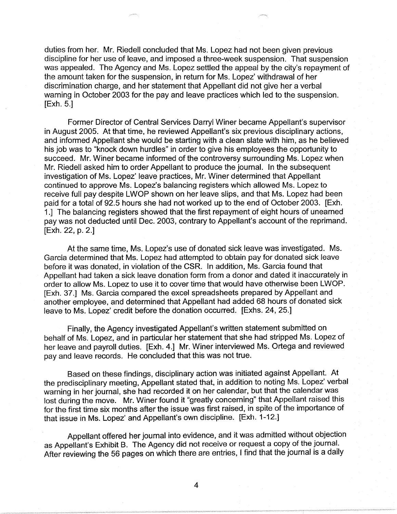duties from her. Mr. Riedell concluded that Ms. Lopez had not been given previous discipline for her use of leave, and imposed a three-week suspension. That suspension was appealed. The Agency and Ms. Lopez settled the appeal by the city's repayment of the amount taken for the suspension, in return for Ms. Lopez' withdrawal of her discrimination charge, and her statement that Appellant did not give her a verbal warning in October 2003 for the pay and leave practices which led to the suspension. [Exh. 5.]

Former Director of Central Services Darryl Winer became Appellant's supervisor in August 2005. At that time, he reviewed Appellant's six previous disciplinary actions, and informed Appellant she would be starting with a clean slate with him, as he believed his job was to "knock down hurdles" in order to give his employees the opportunity to succeed. Mr. Winer became informed of the controversy surrounding Ms. Lopez when Mr. Riedell asked him to order Appellant to produce the journal. In the subsequent investigation of Ms. Lopez' leave practices, Mr. Winer determined that Appellant continued to approve Ms. Lopez's balancing registers which allowed Ms. Lopez to receive full pay despite LWOP shown on her leave slips, and that Ms. Lopez had been paid for a total of 92.5 hours she had not worked up to the end of October 2003. [Exh. 1.] The balancing registers showed that the first repayment of eight hours of unearned pay was not deducted until Dec. 2003, contrary to Appellant's account of the reprimand. [Exh. 22, p. 2.]

At the same time, Ms. Lopez's use of donated sick leave was investigated. Ms. Garcia determined that Ms. Lopez had attempted to obtain pay for donated sick leave before it was donated, in violation of the CSR. In addition, Ms. Garcia found that Appellant had taken a sick leave donation form from a donor and dated it inaccurately in order to allow Ms. Lopez to use it to cover time that would have otherwise been LWOP. [Exh. 37.] Ms. Garcia compared the excel spreadsheets prepared by Appellant and another employee, and determined that Appellant had added 68 hours of donated sick leave to Ms. Lopez' credit before the donation occurred. [Exhs. 24, 25.]

Finally, the Agency investigated Appellant's written statement submitted on behalf of Ms. Lopez, and in particular her statement that she had stripped Ms. Lopez of her leave and payroll duties. [Exh. 4.] Mr. Winer interviewed Ms. Ortega and reviewed pay and leave records. He concluded that this was not true.

Based on these findings, disciplinary action was initiated against Appellant. At the predisciplinary meeting, Appellant stated that, in addition to noting Ms. Lopez' verbal warning in her journal, she had recorded it on her calendar, but that the calendar was lost during the move. Mr. Winer found it "greatly concerning" that Appellant raised this for the first time six months after the issue was first raised, in spite of the importance of that issue in Ms. Lopez' and Appellant's own discipline. [Exh. 1-12.]

Appellant offered her journal into evidence, and it was admitted without objection as Appellant's Exhibit B. The Agency did not receive or request a copy of the journal. After reviewing the 56 pages on which there are entries, I find that the journal is a daily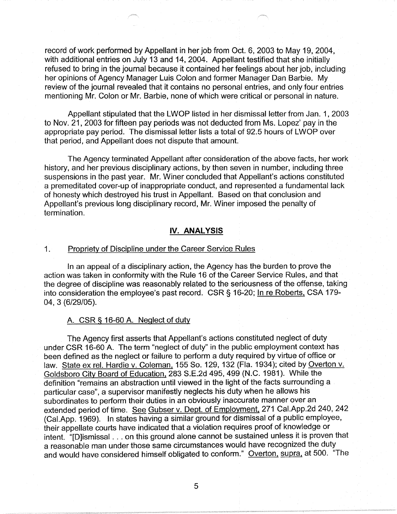record of work performed by Appellant in her job from Oct. 6, 2003 to May 19, 2004, with additional entries on July 13 and 14, 2004. Appellant testified that she initially refused to bring in the journal because it contained her feelings about her job, including her opinions of Agency Manager Luis Colon and former Manager Dan Barbie. My review of the journal revealed that it contains no personal entries, and only four entries mentioning Mr. Colon or Mr. Barbie, none of which were critical or personal in nature.

Appellant stipulated that the LWOP listed in her dismissal letter from Jan. 1, 2003 to Nov. 21, 2003 for fifteen pay periods was not deducted from Ms. Lopez' pay in the appropriate pay period. The dismissal letter lists a total of 92.5 hours of LWOP over that period, and Appellant does not dispute that amount.

The Agency terminated Appellant after consideration of the above facts, her work history, and her previous disciplinary actions, by then seven in number, including three suspensions in the past year. Mr. Winer concluded that Appellant's actions constituted a premeditated cover-up of inappropriate conduct, and represented a fundamental lack of honesty which destroyed his trust in Appellant. Based on that conclusion and Appellant's previous long disciplinary record, Mr. Winer imposed the penalty of termination.

## **IV. ANALYSIS**

#### 1. Propriety of Discipline under the Career Service Rules

In an appeal of a disciplinary action, the Agency has the burden to prove the action was taken in conformity with the Rule 16 of the Career Service Rules, and that the degree of discipline was reasonably related to the seriousness of the offense, taking into consideration the employee's past record. CSR§ 16-20; In re Roberts, CSA 179- 04, 3 (6/29/05).

### A. CSR § 16-60 A. Neglect of duty

The Agency first asserts that Appellant's actions constituted neglect of duty under CSR 16-60 A. The term "neglect of duty" in the public employment context has been defined as the neglect or failure to perform a duty required by virtue of office or law. State ex rel. Hardie v. Coleman, 155 So. 129, 132 (Fla. 1934); cited by Overton v. Goldsboro City Board of Education, 283 S.E.2d 495,499 (N.C. 1981). While the definition "remains an abstraction until viewed in the light of the facts surrounding a particular case", a supervisor manifestly neglects his duty when he allows his subordinates to perform their duties in an obviously inaccurate manner over an extended period of time. See Gubser v. Dept. of Employment, 271 Cal.App.2d 240, 242 (Cal.App. 1969). In states having a similar ground for dismissal of a public employee, their appellate courts have indicated that a violation requires proof of knowledge or intent. "[D]ismissal ... on this ground alone cannot be sustained unless it is proven that a reasonable man under those same circumstances would have recognized the duty and would have considered himself obligated to conform." Overton, supra, at 500. "The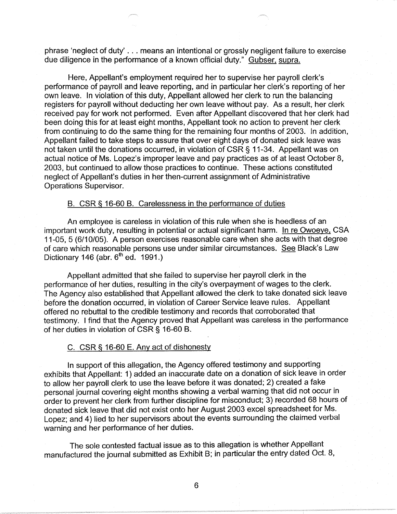phrase 'neglect of duty' ... means an intentional or grossly negligent failure to exercise due diligence in the performance of a known official duty." Gubser. supra.

Here, Appellant's employment required her to supervise her payroll clerk's performance of payroll and leave reporting, and in particular her clerk's reporting of her own leave. In violation of this duty, Appellant allowed her clerk to run the balancing registers for payroll without deducting her own leave without pay. As a result, her clerk received pay for work not performed. Even after Appellant discovered that her clerk had been doing this for at least eight months, Appellant took no action to prevent her clerk from continuing to do the same thing for the remaining four months of 2003. In addition, Appellant failed to take steps to assure that over eight days of donated sick leave was not taken until the donations occurred, in violation of CSR § 11-34. Appellant was on actual notice of Ms. Lopez's improper leave and pay practices as of at least October 8, 2003, but continued to allow those practices to continue. These actions constituted neglect of Appellant's duties in her then-current assignment of Administrative Operations Supervisor.

## B. CSR § 16-60 B. Carelessness in the performance of duties

An employee is careless in violation of this rule when she is heedless of an important work duty, resulting in potential or actual significant harm. In re Owoeye, CSA 11-05, 5 (6/10/05). A person exercises reasonable care when she acts with that degree of care which reasonable persons use under similar circumstances. See Black's Law Dictionary 146 (abr.  $6<sup>th</sup>$  ed. 1991.)

Appellant admitted that she failed to supervise her payroll clerk in the performance of her duties, resulting in the city's overpayment of wages to the clerk. The Agency also established that Appellant allowed the clerk to take donated sick leave before the donation occurred, in violation of Career Service leave rules. Appellant offered no rebuttal to the credible testimony and records that corroborated that testimony. I find that the Agency proved that Appellant was careless in the performance of her duties in violation of CSR§ 16-60 B.

### C. CSR§ 16-60 E. Any act of dishonesty

In support of this allegation, the Agency offered testimony and supporting exhibits that Appellant: 1) added an inaccurate date on a donation of sick leave in order to allow her payroll clerk to use the leave before it was donated; 2) created a fake personal journal covering eight months showing a verbal warning that did not occur in order to prevent her clerk from further discipline for misconduct; 3) recorded 68 hours of donated sick leave that did not exist onto her August 2003 excel spreadsheet for Ms. Lopez; and 4) lied to her supervisors about the events surrounding the claimed verbal warning and her performance of her duties.

The sole contested factual issue as to this allegation is whether Appellant manufactured the journal submitted as Exhibit B; in particular the entry dated Oct. 8,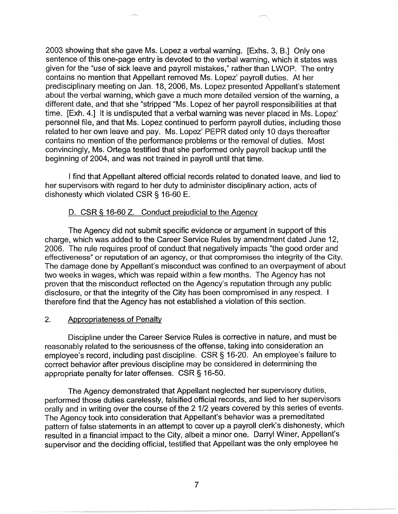2003 showing that she gave Ms. Lopez a verbal warning. [Exhs. 3, B.] Only one sentence of this one-page entry is devoted to the verbal warning, which it states was given for the "use of sick leave and payroll mistakes," rather than LWOP. The entry contains no mention that Appellant removed Ms. Lopez' payroll duties. At her predisciplinary meeting on Jan. 18, 2006, Ms. Lopez presented Appellant's statement about the verbal warning, which gave a much more detailed version of the warning, a different date, and that she "stripped "Ms. Lopez of her payroll responsibilities at that time. [Exh. 4.] It is undisputed that a verbal warning was never placed in Ms. Lopez' personnel file, and that Ms. Lopez continued to perform payroll duties, including those related to her own leave and pay. Ms. Lopez' PEPR dated only 10 days thereafter contains no mention of the performance problems or the removal of duties. Most convincingly, Ms. Ortega testified that she performed only payroll backup until the beginning of 2004, and was not trained in payroll until that time.

I find that Appellant altered official records related to donated leave, and lied to her supervisors with regard to her duty to administer disciplinary action, acts of dishonesty which violated CSR § 16-60 E.

# D. CSR § 16-60 Z. Conduct prejudicial to the Agency

The Agency did not submit specific evidence or argument in support of this charge, which was added to the Career Service Rules by amendment dated June 12, 2006. The rule requires proof of conduct that negatively impacts "the good order and effectiveness" or reputation of an agency, or that compromises the integrity of the City. The damage done by Appellant's misconduct was confined to an overpayment of about two weeks in wages, which was repaid within a few months. The Agency has not proven that the misconduct reflected on the Agency's reputation through any public disclosure, or that the integrity of the City has been compromised in any respect. I therefore find that the Agency has not established a violation of this section.

### 2. Appropriateness of Penalty

Discipline under the Career Service Rules is corrective in nature, and must be reasonably related to the seriousness of the offense, taking into consideration an employee's record, including past discipline. CSR§ 16-20. An employee's failure to correct behavior after previous discipline may be considered in determining the appropriate penalty for later offenses. CSR § 16-50.

The Agency demonstrated that Appellant neglected her supervisory duties, performed those duties carelessly, falsified official records, and lied to her supervisors orally and in writing over the course of the 2 1/2 years covered by this series of events. The Agency took into consideration that Appellant's behavior was a premeditated pattern of false statements in an attempt to cover up a payroll clerk's dishonesty, which resulted in a financial impact to the City, albeit a minor one. Darryl Winer, Appellant's supervisor and the deciding official, testified that Appellant was the only employee he